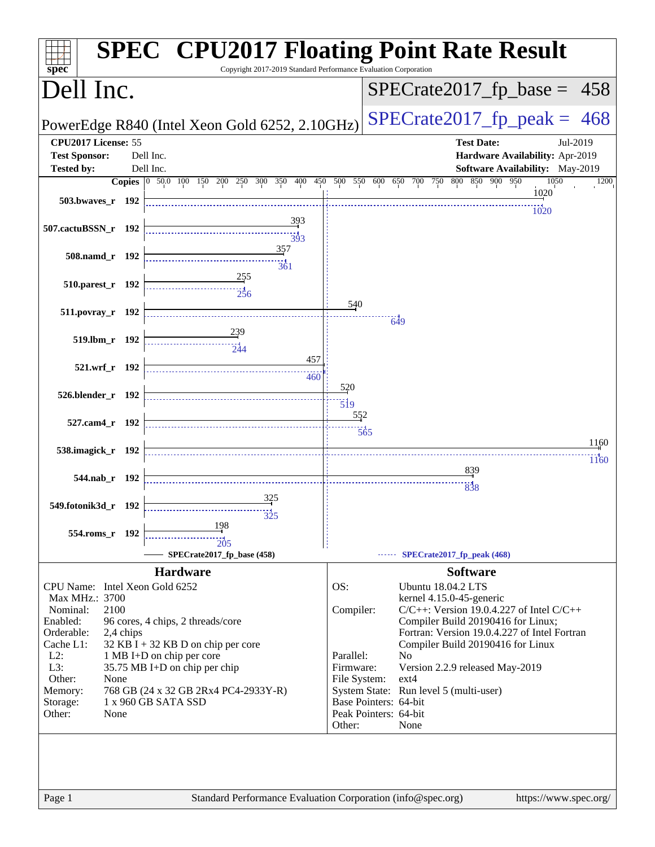| Copyright 2017-2019 Standard Performance Evaluation Corporation<br>$s\overline{p}\overline{e}\overline{c}$ | <b>SPEC<sup>®</sup> CPU2017 Floating Point Rate Result</b>                           |
|------------------------------------------------------------------------------------------------------------|--------------------------------------------------------------------------------------|
| Dell Inc.                                                                                                  | $SPECrate2017_fp\_base = 458$                                                        |
| PowerEdge R840 (Intel Xeon Gold 6252, 2.10GHz)                                                             | $SPECTate2017$ _fp_peak = 468                                                        |
| CPU2017 License: 55                                                                                        | <b>Test Date:</b><br>Jul-2019                                                        |
| <b>Test Sponsor:</b><br>Dell Inc.                                                                          | Hardware Availability: Apr-2019                                                      |
| <b>Tested by:</b><br>Dell Inc.                                                                             | Software Availability: May-2019                                                      |
| Copies 0 50.0 100 150 200 250 300 350 400 450 500 550 600 650 700 750                                      | 800 850 900 950<br>1050<br>1200                                                      |
| 503.bwaves_r 192                                                                                           | 1020                                                                                 |
|                                                                                                            | 1020                                                                                 |
| 393<br>507.cactuBSSN_r 192<br>393                                                                          |                                                                                      |
| 357<br>508.namd_r 192<br>361                                                                               |                                                                                      |
| 255<br>510.parest_r 192<br>256                                                                             |                                                                                      |
| 511.povray_r 192                                                                                           | 540<br>$-649$                                                                        |
| 519.lbm_r 192<br>-544                                                                                      |                                                                                      |
| 457<br>521.wrf_r 192<br>460                                                                                |                                                                                      |
| 526.blender_r 192                                                                                          | 520<br>$\overline{519}$                                                              |
| 527.cam4_r 192                                                                                             | 552                                                                                  |
|                                                                                                            | $\overline{565}$                                                                     |
| 538.imagick_r 192                                                                                          | 1160                                                                                 |
|                                                                                                            | 1160                                                                                 |
| 544.nab_r 192                                                                                              | 839                                                                                  |
|                                                                                                            | 838                                                                                  |
| 325<br>549.fotonik3d_r 192                                                                                 |                                                                                      |
| $\frac{1}{325}$                                                                                            |                                                                                      |
| 198<br>554.roms_r 192                                                                                      |                                                                                      |
| 205                                                                                                        |                                                                                      |
| SPECrate2017_fp_base (458)                                                                                 | <b>SPECrate2017_fp_peak (468)</b>                                                    |
| <b>Hardware</b>                                                                                            | <b>Software</b>                                                                      |
| CPU Name: Intel Xeon Gold 6252                                                                             | OS:<br><b>Ubuntu 18.04.2 LTS</b>                                                     |
| Max MHz.: 3700                                                                                             | kernel 4.15.0-45-generic                                                             |
| 2100<br>Nominal:                                                                                           | Compiler:<br>$C/C++$ : Version 19.0.4.227 of Intel $C/C++$                           |
| Enabled:<br>96 cores, 4 chips, 2 threads/core                                                              | Compiler Build 20190416 for Linux;                                                   |
| Orderable:<br>2,4 chips                                                                                    | Fortran: Version 19.0.4.227 of Intel Fortran                                         |
| Cache L1:<br>$32$ KB I + 32 KB D on chip per core<br>$L2$ :<br>1 MB I+D on chip per core                   | Compiler Build 20190416 for Linux<br>Parallel:<br>N <sub>o</sub>                     |
| L3:<br>35.75 MB I+D on chip per chip                                                                       | Firmware:<br>Version 2.2.9 released May-2019                                         |
| Other:<br>None                                                                                             | File System:<br>$ext{4}$                                                             |
| Memory:<br>768 GB (24 x 32 GB 2Rx4 PC4-2933Y-R)                                                            | System State: Run level 5 (multi-user)                                               |
| 1 x 960 GB SATA SSD<br>Storage:                                                                            | Base Pointers: 64-bit                                                                |
| Other:<br>None                                                                                             | Peak Pointers: 64-bit                                                                |
|                                                                                                            | Other:<br>None                                                                       |
|                                                                                                            |                                                                                      |
| Page 1                                                                                                     | Standard Performance Evaluation Corporation (info@spec.org)<br>https://www.spec.org/ |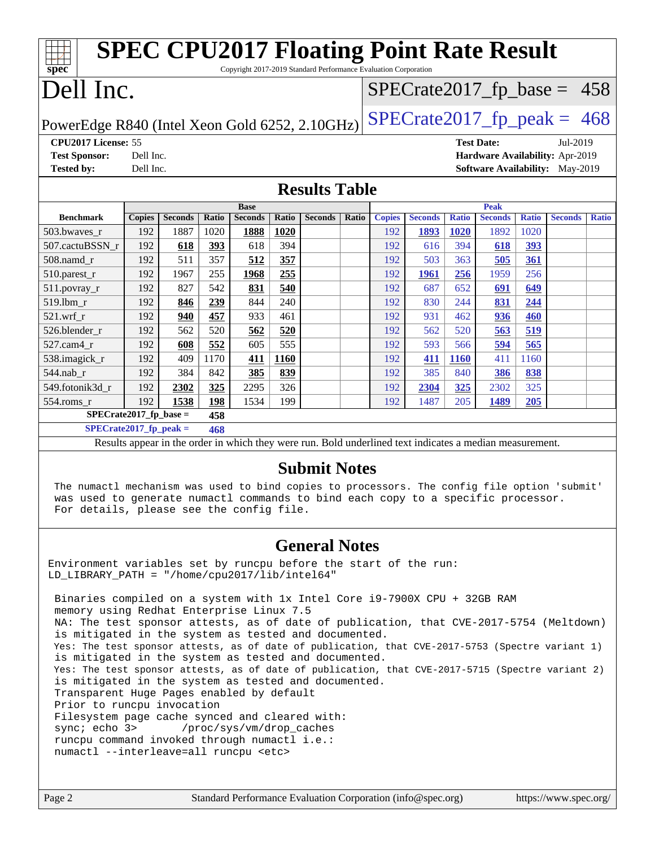| <b>SPEC CPU2017 Floating Point Rate Result</b>                                                           |               |                |            |                |            |                |       |               |                |              |                |              |                                        |              |
|----------------------------------------------------------------------------------------------------------|---------------|----------------|------------|----------------|------------|----------------|-------|---------------|----------------|--------------|----------------|--------------|----------------------------------------|--------------|
| Copyright 2017-2019 Standard Performance Evaluation Corporation<br>spec                                  |               |                |            |                |            |                |       |               |                |              |                |              |                                        |              |
| Dell Inc.<br>$SPECTate2017_fp\_base = 458$                                                               |               |                |            |                |            |                |       |               |                |              |                |              |                                        |              |
| $SPECrate2017_fp\_peak = 468$<br>PowerEdge R840 (Intel Xeon Gold 6252, 2.10GHz)                          |               |                |            |                |            |                |       |               |                |              |                |              |                                        |              |
| CPU2017 License: 55<br><b>Test Date:</b><br>Jul-2019                                                     |               |                |            |                |            |                |       |               |                |              |                |              |                                        |              |
| <b>Test Sponsor:</b>                                                                                     | Dell Inc.     |                |            |                |            |                |       |               |                |              |                |              | Hardware Availability: Apr-2019        |              |
| <b>Tested by:</b>                                                                                        | Dell Inc.     |                |            |                |            |                |       |               |                |              |                |              | <b>Software Availability:</b> May-2019 |              |
| <b>Results Table</b>                                                                                     |               |                |            |                |            |                |       |               |                |              |                |              |                                        |              |
|                                                                                                          |               |                |            | <b>Base</b>    |            |                |       |               |                |              | <b>Peak</b>    |              |                                        |              |
| <b>Benchmark</b>                                                                                         | <b>Copies</b> | <b>Seconds</b> | Ratio      | <b>Seconds</b> | Ratio      | <b>Seconds</b> | Ratio | <b>Copies</b> | <b>Seconds</b> | <b>Ratio</b> | <b>Seconds</b> | <b>Ratio</b> | <b>Seconds</b>                         | <b>Ratio</b> |
| 503.bwaves_r                                                                                             | 192           | 1887           | 1020       | 1888           | 1020       |                |       | 192           | 1893           | <b>1020</b>  | 1892           | 1020         |                                        |              |
| 507.cactuBSSN r<br>508.namd r                                                                            | 192<br>192    | 618<br>511     | 393<br>357 | 618<br>512     | 394<br>357 |                |       | 192<br>192    | 616<br>503     | 394<br>363   | 618            | 393<br>361   |                                        |              |
|                                                                                                          | 192           | 1967           | 255        | 1968           | 255        |                |       | 192           |                | 256          | 505<br>1959    | 256          |                                        |              |
| 510.parest_r                                                                                             | 192           | 827            | 542        | 831            | 540        |                |       | 192           | 1961<br>687    | 652          | 691            |              |                                        |              |
| $511.$ povray_r                                                                                          |               |                |            | 844            | 240        |                |       |               |                | 244          |                | 649          |                                        |              |
| $519.1$ bm r                                                                                             | 192           | 846            | 239        |                |            |                |       | 192           | 830            |              | 831            | 244          |                                        |              |
| $521$ .wrf r                                                                                             | 192           | 940            | 457        | 933            | 461        |                |       | 192           | 931            | 462          | 936            | 460          |                                        |              |
| 526.blender_r                                                                                            | 192           | 562            | 520        | 562            | 520<br>555 |                |       | 192           | 562            | 520          | 563            | 519          |                                        |              |
| 527.cam4 r                                                                                               | 192           | 608            | 552        | 605            |            |                |       | 192           | 593            | 566          | 594            | 565          |                                        |              |
| 538.imagick_r                                                                                            | 192           | 409            | 1170       | 411            | 1160       |                |       | 192           | 411            | <b>1160</b>  | 411            | 1160         |                                        |              |
| 544.nab_r                                                                                                | 192<br>192    | 384            | 842        | 385<br>2295    | 839        |                |       | 192           | 385            | 840          | 386            | 838<br>325   |                                        |              |
| 549.fotonik3d_r                                                                                          |               | 2302           | 325        |                | 326        |                |       | 192           | 2304           | 325          | 2302           |              |                                        |              |
| 198<br>199<br>192<br>1538<br>1534<br>1487<br>554.roms r<br>192<br>205<br>1489<br>205                     |               |                |            |                |            |                |       |               |                |              |                |              |                                        |              |
| $SPECrate2017_fp\_base =$<br>458<br>$SPECrate2017_fp\_peak =$<br>468                                     |               |                |            |                |            |                |       |               |                |              |                |              |                                        |              |
| Results appear in the order in which they were run. Bold underlined text indicates a median measurement. |               |                |            |                |            |                |       |               |                |              |                |              |                                        |              |
|                                                                                                          |               |                |            |                |            |                |       |               |                |              |                |              |                                        |              |

#### **[Submit Notes](http://www.spec.org/auto/cpu2017/Docs/result-fields.html#SubmitNotes)**

 The numactl mechanism was used to bind copies to processors. The config file option 'submit' was used to generate numactl commands to bind each copy to a specific processor. For details, please see the config file.

#### **[General Notes](http://www.spec.org/auto/cpu2017/Docs/result-fields.html#GeneralNotes)**

Environment variables set by runcpu before the start of the run: LD\_LIBRARY\_PATH = "/home/cpu2017/lib/intel64"

 Binaries compiled on a system with 1x Intel Core i9-7900X CPU + 32GB RAM memory using Redhat Enterprise Linux 7.5 NA: The test sponsor attests, as of date of publication, that CVE-2017-5754 (Meltdown) is mitigated in the system as tested and documented. Yes: The test sponsor attests, as of date of publication, that CVE-2017-5753 (Spectre variant 1) is mitigated in the system as tested and documented. Yes: The test sponsor attests, as of date of publication, that CVE-2017-5715 (Spectre variant 2) is mitigated in the system as tested and documented. Transparent Huge Pages enabled by default Prior to runcpu invocation Filesystem page cache synced and cleared with: sync; echo 3> /proc/sys/vm/drop\_caches runcpu command invoked through numactl i.e.: numactl --interleave=all runcpu <etc>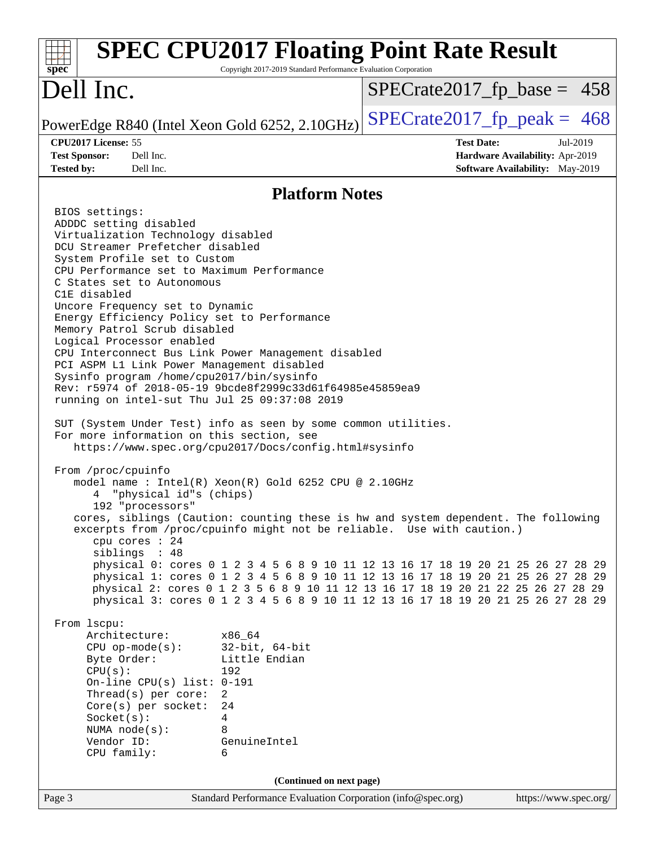| <b>SPEC CPU2017 Floating Point Rate Result</b><br>Copyright 2017-2019 Standard Performance Evaluation Corporation<br>$spec^*$                                                                                                                                                                                                                                                                                                                                                                                                                                                                                                                                                                                                                                                                                                                                                                                                                                                                                                                                                                                                                                                                                                                                                                                                                                                                                                                                                                                                                                                                                                                                                                                                                                                                                                                                         |                       |
|-----------------------------------------------------------------------------------------------------------------------------------------------------------------------------------------------------------------------------------------------------------------------------------------------------------------------------------------------------------------------------------------------------------------------------------------------------------------------------------------------------------------------------------------------------------------------------------------------------------------------------------------------------------------------------------------------------------------------------------------------------------------------------------------------------------------------------------------------------------------------------------------------------------------------------------------------------------------------------------------------------------------------------------------------------------------------------------------------------------------------------------------------------------------------------------------------------------------------------------------------------------------------------------------------------------------------------------------------------------------------------------------------------------------------------------------------------------------------------------------------------------------------------------------------------------------------------------------------------------------------------------------------------------------------------------------------------------------------------------------------------------------------------------------------------------------------------------------------------------------------|-----------------------|
| Dell Inc.<br>$SPECrate2017_fp\_base = 458$                                                                                                                                                                                                                                                                                                                                                                                                                                                                                                                                                                                                                                                                                                                                                                                                                                                                                                                                                                                                                                                                                                                                                                                                                                                                                                                                                                                                                                                                                                                                                                                                                                                                                                                                                                                                                            |                       |
| $SPECrate2017fp peak = 468$<br>PowerEdge R840 (Intel Xeon Gold 6252, 2.10GHz)                                                                                                                                                                                                                                                                                                                                                                                                                                                                                                                                                                                                                                                                                                                                                                                                                                                                                                                                                                                                                                                                                                                                                                                                                                                                                                                                                                                                                                                                                                                                                                                                                                                                                                                                                                                         |                       |
| CPU2017 License: 55<br><b>Test Date:</b><br><b>Test Sponsor:</b><br>Dell Inc.<br>Hardware Availability: Apr-2019<br>Dell Inc.<br>Software Availability: May-2019<br><b>Tested by:</b>                                                                                                                                                                                                                                                                                                                                                                                                                                                                                                                                                                                                                                                                                                                                                                                                                                                                                                                                                                                                                                                                                                                                                                                                                                                                                                                                                                                                                                                                                                                                                                                                                                                                                 | Jul-2019              |
| <b>Platform Notes</b>                                                                                                                                                                                                                                                                                                                                                                                                                                                                                                                                                                                                                                                                                                                                                                                                                                                                                                                                                                                                                                                                                                                                                                                                                                                                                                                                                                                                                                                                                                                                                                                                                                                                                                                                                                                                                                                 |                       |
| BIOS settings:<br>ADDDC setting disabled<br>Virtualization Technology disabled<br>DCU Streamer Prefetcher disabled<br>System Profile set to Custom<br>CPU Performance set to Maximum Performance<br>C States set to Autonomous<br>C1E disabled<br>Uncore Frequency set to Dynamic<br>Energy Efficiency Policy set to Performance<br>Memory Patrol Scrub disabled<br>Logical Processor enabled<br>CPU Interconnect Bus Link Power Management disabled<br>PCI ASPM L1 Link Power Management disabled<br>Sysinfo program /home/cpu2017/bin/sysinfo<br>Rev: r5974 of 2018-05-19 9bcde8f2999c33d61f64985e45859ea9<br>running on intel-sut Thu Jul 25 09:37:08 2019<br>SUT (System Under Test) info as seen by some common utilities.<br>For more information on this section, see<br>https://www.spec.org/cpu2017/Docs/config.html#sysinfo<br>From /proc/cpuinfo<br>model name : Intel(R) Xeon(R) Gold 6252 CPU @ 2.10GHz<br>"physical id"s (chips)<br>192 "processors"<br>cores, siblings (Caution: counting these is hw and system dependent. The following<br>excerpts from /proc/cpuinfo might not be reliable. Use with caution.)<br>cpu cores $: 24$<br>siblings : 48<br>physical 0: cores 0 1 2 3 4 5 6 8 9 10 11 12 13 16 17 18 19 20 21 25 26 27 28 29<br>physical 1: cores 0 1 2 3 4 5 6 8 9 10 11 12 13 16 17 18 19 20 21 25 26 27 28 29<br>physical 2: cores 0 1 2 3 5 6 8 9 10 11 12 13 16 17 18 19 20 21 22 25 26 27 28 29<br>physical 3: cores 0 1 2 3 4 5 6 8 9 10 11 12 13 16 17 18 19 20 21 25 26 27 28 29<br>From lscpu:<br>Architecture:<br>x86 64<br>$32$ -bit, $64$ -bit<br>$CPU$ op-mode( $s$ ):<br>Little Endian<br>Byte Order:<br>CPU(s):<br>192<br>On-line CPU(s) list: $0-191$<br>Thread(s) per core:<br>$\overline{2}$<br>Core(s) per socket:<br>24<br>Socket(s):<br>4<br>NUMA node(s):<br>8<br>Vendor ID:<br>GenuineIntel<br>CPU family:<br>6 |                       |
| (Continued on next page)                                                                                                                                                                                                                                                                                                                                                                                                                                                                                                                                                                                                                                                                                                                                                                                                                                                                                                                                                                                                                                                                                                                                                                                                                                                                                                                                                                                                                                                                                                                                                                                                                                                                                                                                                                                                                                              |                       |
| Page 3<br>Standard Performance Evaluation Corporation (info@spec.org)                                                                                                                                                                                                                                                                                                                                                                                                                                                                                                                                                                                                                                                                                                                                                                                                                                                                                                                                                                                                                                                                                                                                                                                                                                                                                                                                                                                                                                                                                                                                                                                                                                                                                                                                                                                                 | https://www.spec.org/ |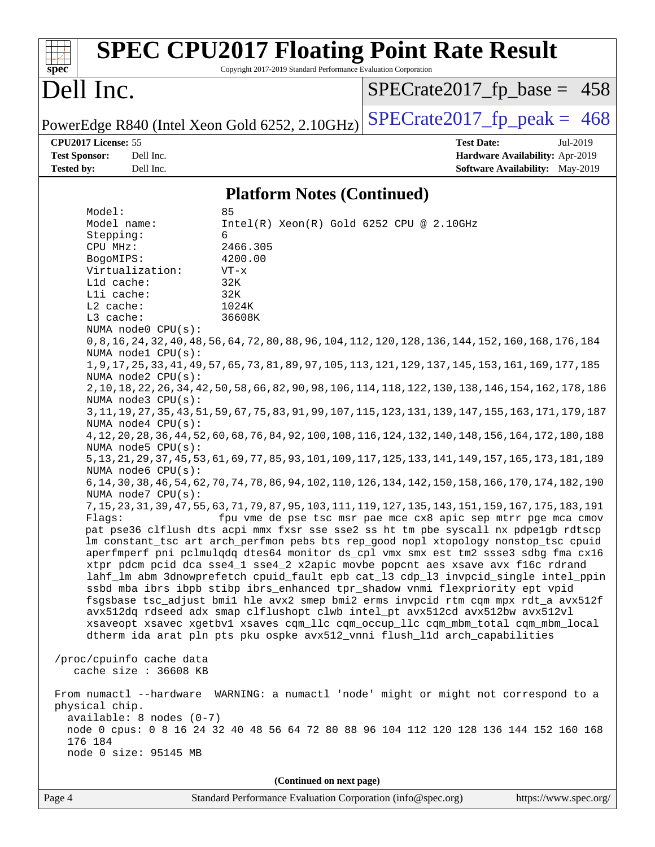| $spec^*$                                                                                                                                       |                                                                                                                                                                                                                                                                                                               | Copyright 2017-2019 Standard Performance Evaluation Corporation                                                         | <b>SPEC CPU2017 Floating Point Rate Result</b>                                                                                                                                                                                                                                                                                                                                                                                                                                                                                                                                                                                                                                                                                                                                                                                                                                                                                                                                                                                                                                                                                                                                                                                                                                                                                                                                                                                                                                                                                                                                                                                                                                                                                                                                                                                                                                                                                                                                                                            |
|------------------------------------------------------------------------------------------------------------------------------------------------|---------------------------------------------------------------------------------------------------------------------------------------------------------------------------------------------------------------------------------------------------------------------------------------------------------------|-------------------------------------------------------------------------------------------------------------------------|---------------------------------------------------------------------------------------------------------------------------------------------------------------------------------------------------------------------------------------------------------------------------------------------------------------------------------------------------------------------------------------------------------------------------------------------------------------------------------------------------------------------------------------------------------------------------------------------------------------------------------------------------------------------------------------------------------------------------------------------------------------------------------------------------------------------------------------------------------------------------------------------------------------------------------------------------------------------------------------------------------------------------------------------------------------------------------------------------------------------------------------------------------------------------------------------------------------------------------------------------------------------------------------------------------------------------------------------------------------------------------------------------------------------------------------------------------------------------------------------------------------------------------------------------------------------------------------------------------------------------------------------------------------------------------------------------------------------------------------------------------------------------------------------------------------------------------------------------------------------------------------------------------------------------------------------------------------------------------------------------------------------------|
| Dell Inc.                                                                                                                                      |                                                                                                                                                                                                                                                                                                               |                                                                                                                         | $SPECTate2017_fp\_base = 458$                                                                                                                                                                                                                                                                                                                                                                                                                                                                                                                                                                                                                                                                                                                                                                                                                                                                                                                                                                                                                                                                                                                                                                                                                                                                                                                                                                                                                                                                                                                                                                                                                                                                                                                                                                                                                                                                                                                                                                                             |
|                                                                                                                                                |                                                                                                                                                                                                                                                                                                               | PowerEdge R840 (Intel Xeon Gold 6252, 2.10GHz)                                                                          | $SPECTate2017$ _fp_peak = 468                                                                                                                                                                                                                                                                                                                                                                                                                                                                                                                                                                                                                                                                                                                                                                                                                                                                                                                                                                                                                                                                                                                                                                                                                                                                                                                                                                                                                                                                                                                                                                                                                                                                                                                                                                                                                                                                                                                                                                                             |
| CPU2017 License: 55<br><b>Test Sponsor:</b><br><b>Tested by:</b>                                                                               | Dell Inc.<br>Dell Inc.                                                                                                                                                                                                                                                                                        |                                                                                                                         | <b>Test Date:</b><br>Jul-2019<br>Hardware Availability: Apr-2019<br><b>Software Availability:</b> May-2019                                                                                                                                                                                                                                                                                                                                                                                                                                                                                                                                                                                                                                                                                                                                                                                                                                                                                                                                                                                                                                                                                                                                                                                                                                                                                                                                                                                                                                                                                                                                                                                                                                                                                                                                                                                                                                                                                                                |
|                                                                                                                                                |                                                                                                                                                                                                                                                                                                               | <b>Platform Notes (Continued)</b>                                                                                       |                                                                                                                                                                                                                                                                                                                                                                                                                                                                                                                                                                                                                                                                                                                                                                                                                                                                                                                                                                                                                                                                                                                                                                                                                                                                                                                                                                                                                                                                                                                                                                                                                                                                                                                                                                                                                                                                                                                                                                                                                           |
| Model:<br>Model name:<br>Stepping:<br>CPU MHz:<br>BogoMIPS:<br>L1d cache:<br>Lli cache:<br>L2 cache:<br>L3 cache:<br>physical chip.<br>176 184 | Virtualization:<br>NUMA node0 CPU(s):<br>NUMA nodel CPU(s):<br>NUMA node2 CPU(s):<br>NUMA node3 CPU(s):<br>NUMA node4 CPU(s):<br>NUMA node5 $CPU(s):$<br>NUMA node6 CPU(s):<br>NUMA node7 CPU(s):<br>/proc/cpuinfo cache data<br>cache size : 36608 KB<br>$available: 8 nodes (0-7)$<br>node 0 size: 95145 MB | 85<br>Intel(R) Xeon(R) Gold 6252 CPU @ 2.10GHz<br>6<br>2466.305<br>4200.00<br>$VT - x$<br>32K<br>32K<br>1024K<br>36608K | 0, 8, 16, 24, 32, 40, 48, 56, 64, 72, 80, 88, 96, 104, 112, 120, 128, 136, 144, 152, 160, 168, 176, 184<br>1, 9, 17, 25, 33, 41, 49, 57, 65, 73, 81, 89, 97, 105, 113, 121, 129, 137, 145, 153, 161, 169, 177, 185<br>2, 10, 18, 22, 26, 34, 42, 50, 58, 66, 82, 90, 98, 106, 114, 118, 122, 130, 138, 146, 154, 162, 178, 186<br>3, 11, 19, 27, 35, 43, 51, 59, 67, 75, 83, 91, 99, 107, 115, 123, 131, 139, 147, 155, 163, 171, 179, 187<br>4, 12, 20, 28, 36, 44, 52, 60, 68, 76, 84, 92, 100, 108, 116, 124, 132, 140, 148, 156, 164, 172, 180, 188<br>5, 13, 21, 29, 37, 45, 53, 61, 69, 77, 85, 93, 101, 109, 117, 125, 133, 141, 149, 157, 165, 173, 181, 189<br>6, 14, 30, 38, 46, 54, 62, 70, 74, 78, 86, 94, 102, 110, 126, 134, 142, 150, 158, 166, 170, 174, 182, 190<br>7, 15, 23, 31, 39, 47, 55, 63, 71, 79, 87, 95, 103, 111, 119, 127, 135, 143, 151, 159, 167, 175, 183, 191<br>Flags: fpu vme de pse tsc msr pae mce cx8 apic sep mtrr pge mca cmov<br>pat pse36 clflush dts acpi mmx fxsr sse sse2 ss ht tm pbe syscall nx pdpelgb rdtscp<br>lm constant_tsc art arch_perfmon pebs bts rep_good nopl xtopology nonstop_tsc cpuid<br>aperfmperf pni pclmulqdq dtes64 monitor ds_cpl vmx smx est tm2 ssse3 sdbg fma cx16<br>xtpr pdcm pcid dca sse4_1 sse4_2 x2apic movbe popcnt aes xsave avx f16c rdrand<br>lahf_lm abm 3dnowprefetch cpuid_fault epb cat_13 cdp_13 invpcid_single intel_ppin<br>ssbd mba ibrs ibpb stibp ibrs_enhanced tpr_shadow vnmi flexpriority ept vpid<br>fsgsbase tsc_adjust bmil hle avx2 smep bmi2 erms invpcid rtm cqm mpx rdt_a avx512f<br>avx512dq rdseed adx smap clflushopt clwb intel_pt avx512cd avx512bw avx512vl<br>xsaveopt xsavec xgetbvl xsaves cqm_llc cqm_occup_llc cqm_mbm_total cqm_mbm_local<br>dtherm ida arat pln pts pku ospke avx512_vnni flush_l1d arch_capabilities<br>From numactl --hardware WARNING: a numactl 'node' might or might not correspond to a<br>node 0 cpus: 0 8 16 24 32 40 48 56 64 72 80 88 96 104 112 120 128 136 144 152 160 168 |
|                                                                                                                                                |                                                                                                                                                                                                                                                                                                               | (Continued on next page)                                                                                                |                                                                                                                                                                                                                                                                                                                                                                                                                                                                                                                                                                                                                                                                                                                                                                                                                                                                                                                                                                                                                                                                                                                                                                                                                                                                                                                                                                                                                                                                                                                                                                                                                                                                                                                                                                                                                                                                                                                                                                                                                           |

Page 4 Standard Performance Evaluation Corporation [\(info@spec.org\)](mailto:info@spec.org) <https://www.spec.org/>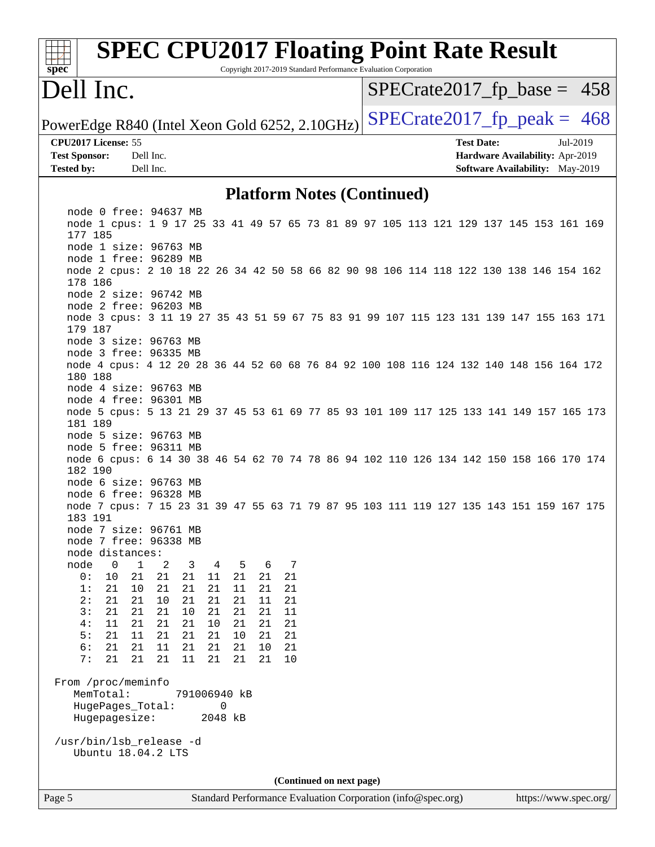| <b>SPEC CPU2017 Floating Point Rate Result</b><br>Copyright 2017-2019 Standard Performance Evaluation Corporation<br>spec |                                        |
|---------------------------------------------------------------------------------------------------------------------------|----------------------------------------|
| Dell Inc.                                                                                                                 | $SPECrate2017_fp\_base = 458$          |
| PowerEdge R840 (Intel Xeon Gold 6252, 2.10GHz)                                                                            | $SPECTate2017$ _fp_peak = 468          |
| CPU2017 License: 55                                                                                                       | <b>Test Date:</b><br>Jul-2019          |
| <b>Test Sponsor:</b><br>Dell Inc.                                                                                         | Hardware Availability: Apr-2019        |
| Dell Inc.<br><b>Tested by:</b>                                                                                            | <b>Software Availability:</b> May-2019 |
| <b>Platform Notes (Continued)</b>                                                                                         |                                        |
| node 0 free: 94637 MB                                                                                                     |                                        |
| node 1 cpus: 1 9 17 25 33 41 49 57 65 73 81 89 97 105 113 121 129 137 145 153 161 169<br>177 185                          |                                        |
| node 1 size: 96763 MB                                                                                                     |                                        |
| node 1 free: 96289 MB                                                                                                     |                                        |
| node 2 cpus: 2 10 18 22 26 34 42 50 58 66 82 90 98 106 114 118 122 130 138 146 154 162<br>178 186                         |                                        |
| node 2 size: 96742 MB                                                                                                     |                                        |
| node 2 free: 96203 MB                                                                                                     |                                        |
| node 3 cpus: 3 11 19 27 35 43 51 59 67 75 83 91 99 107 115 123 131 139 147 155 163 171                                    |                                        |
| 179 187<br>node 3 size: 96763 MB                                                                                          |                                        |
| node 3 free: 96335 MB                                                                                                     |                                        |
| node 4 cpus: 4 12 20 28 36 44 52 60 68 76 84 92 100 108 116 124 132 140 148 156 164 172                                   |                                        |
| 180 188                                                                                                                   |                                        |
| node 4 size: 96763 MB                                                                                                     |                                        |
| node 4 free: 96301 MB<br>node 5 cpus: 5 13 21 29 37 45 53 61 69 77 85 93 101 109 117 125 133 141 149 157 165 173          |                                        |
| 181 189                                                                                                                   |                                        |
| node 5 size: 96763 MB                                                                                                     |                                        |
| node 5 free: 96311 MB                                                                                                     |                                        |
| node 6 cpus: 6 14 30 38 46 54 62 70 74 78 86 94 102 110 126 134 142 150 158 166 170 174<br>182 190                        |                                        |
| node 6 size: 96763 MB                                                                                                     |                                        |
| node 6 free: 96328 MB                                                                                                     |                                        |
| node 7 cpus: 7 15 23 31 39 47 55 63 71 79 87 95 103 111 119 127 135 143 151 159 167 175                                   |                                        |
| 183 191<br>node 7 size: 96761 MB                                                                                          |                                        |
| node 7 free: 96338 MB                                                                                                     |                                        |
| node distances:                                                                                                           |                                        |
| $\mathbf{0}$<br>2<br>7<br>node<br>1<br>3<br>4<br>5<br>6                                                                   |                                        |
| 0:<br>10<br>21<br>21<br>21<br>21<br>11<br>21<br>21<br>1:<br>21<br>10<br>21<br>21<br>21<br>11<br>21<br>21                  |                                        |
| 2:<br>10<br>21<br>21<br>21<br>21<br>21<br>11<br>21                                                                        |                                        |
| 10<br>11<br>3:<br>21<br>21<br>21<br>21<br>21<br>21                                                                        |                                        |
| 4:<br>11<br>21<br>21<br>10<br>21<br>21<br>21<br>21                                                                        |                                        |
| 5:<br>21<br>21<br>21<br>10<br>21<br>11<br>21<br>21<br>21<br>11                                                            |                                        |
| 6:<br>21<br>21<br>21<br>21<br>10<br>21<br>7:<br>21<br>21<br>21<br>21<br>11<br>21<br>21<br>10                              |                                        |
|                                                                                                                           |                                        |
| From /proc/meminfo<br>MemTotal:<br>791006940 kB                                                                           |                                        |
| HugePages_Total:<br>0                                                                                                     |                                        |
| Hugepagesize:<br>2048 kB                                                                                                  |                                        |
| /usr/bin/lsb_release -d                                                                                                   |                                        |
| Ubuntu 18.04.2 LTS                                                                                                        |                                        |
|                                                                                                                           |                                        |
| (Continued on next page)                                                                                                  |                                        |
| Page 5<br>Standard Performance Evaluation Corporation (info@spec.org)                                                     | https://www.spec.org/                  |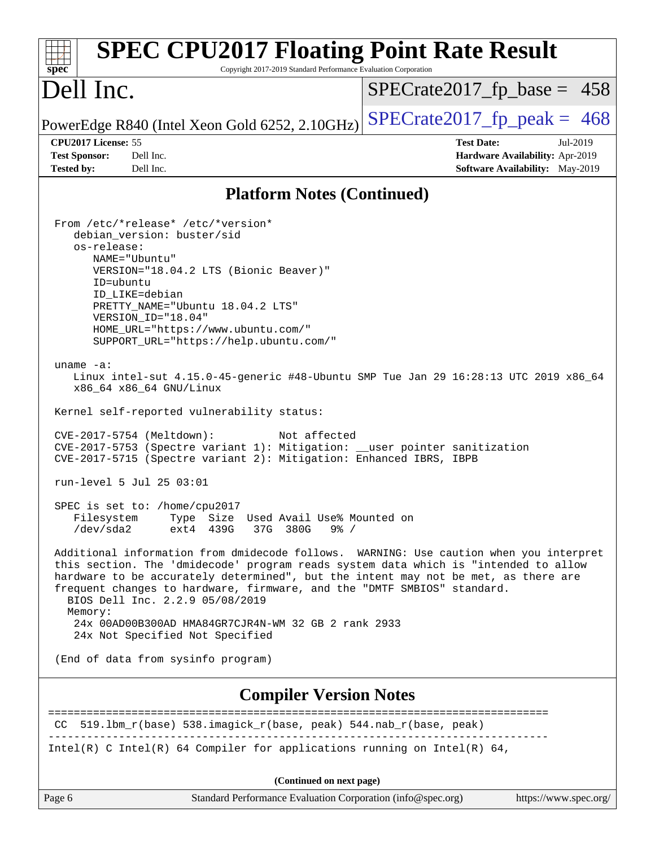| <b>SPEC CPU2017 Floating Point Rate Result</b><br>Copyright 2017-2019 Standard Performance Evaluation Corporation<br>spec <sup>®</sup>                                                                                                                                                                                                                                                                                                                                                                                                                                                                                                                                                                                                                                                                                                                                                                                                                                                                                                                                                                                                                                                                                                                                                                                                                                                                                      |                                                                                                            |
|-----------------------------------------------------------------------------------------------------------------------------------------------------------------------------------------------------------------------------------------------------------------------------------------------------------------------------------------------------------------------------------------------------------------------------------------------------------------------------------------------------------------------------------------------------------------------------------------------------------------------------------------------------------------------------------------------------------------------------------------------------------------------------------------------------------------------------------------------------------------------------------------------------------------------------------------------------------------------------------------------------------------------------------------------------------------------------------------------------------------------------------------------------------------------------------------------------------------------------------------------------------------------------------------------------------------------------------------------------------------------------------------------------------------------------|------------------------------------------------------------------------------------------------------------|
| Dell Inc.                                                                                                                                                                                                                                                                                                                                                                                                                                                                                                                                                                                                                                                                                                                                                                                                                                                                                                                                                                                                                                                                                                                                                                                                                                                                                                                                                                                                                   | $SPECrate2017_fp\_base = 458$                                                                              |
| PowerEdge R840 (Intel Xeon Gold 6252, 2.10GHz)                                                                                                                                                                                                                                                                                                                                                                                                                                                                                                                                                                                                                                                                                                                                                                                                                                                                                                                                                                                                                                                                                                                                                                                                                                                                                                                                                                              | $SPECTate2017$ _fp_peak = 468                                                                              |
| CPU2017 License: 55<br>Dell Inc.<br><b>Test Sponsor:</b><br>Dell Inc.<br><b>Tested by:</b>                                                                                                                                                                                                                                                                                                                                                                                                                                                                                                                                                                                                                                                                                                                                                                                                                                                                                                                                                                                                                                                                                                                                                                                                                                                                                                                                  | <b>Test Date:</b><br>Jul-2019<br>Hardware Availability: Apr-2019<br><b>Software Availability:</b> May-2019 |
| <b>Platform Notes (Continued)</b>                                                                                                                                                                                                                                                                                                                                                                                                                                                                                                                                                                                                                                                                                                                                                                                                                                                                                                                                                                                                                                                                                                                                                                                                                                                                                                                                                                                           |                                                                                                            |
| From /etc/*release* /etc/*version*<br>debian_version: buster/sid<br>os-release:<br>NAME="Ubuntu"<br>VERSION="18.04.2 LTS (Bionic Beaver)"<br>ID=ubuntu<br>ID LIKE=debian<br>PRETTY_NAME="Ubuntu 18.04.2 LTS"<br>VERSION ID="18.04"<br>HOME_URL="https://www.ubuntu.com/"<br>SUPPORT_URL="https://help.ubuntu.com/"<br>uname $-a$ :<br>Linux intel-sut 4.15.0-45-generic #48-Ubuntu SMP Tue Jan 29 16:28:13 UTC 2019 x86_64<br>x86_64 x86_64 GNU/Linux<br>Kernel self-reported vulnerability status:<br>CVE-2017-5754 (Meltdown):<br>Not affected<br>CVE-2017-5753 (Spectre variant 1): Mitigation: __user pointer sanitization<br>CVE-2017-5715 (Spectre variant 2): Mitigation: Enhanced IBRS, IBPB<br>run-level 5 Jul 25 03:01<br>SPEC is set to: /home/cpu2017<br>Type Size Used Avail Use% Mounted on<br>Filesystem<br>$/\text{dev/sda2}$<br>37G 380G<br>ext4 439G<br>$9\frac{8}{10}$ /<br>Additional information from dmidecode follows. WARNING: Use caution when you interpret<br>this section. The 'dmidecode' program reads system data which is "intended to allow<br>hardware to be accurately determined", but the intent may not be met, as there are<br>frequent changes to hardware, firmware, and the "DMTF SMBIOS" standard.<br>BIOS Dell Inc. 2.2.9 05/08/2019<br>Memory:<br>24x 00AD00B300AD HMA84GR7CJR4N-WM 32 GB 2 rank 2933<br>24x Not Specified Not Specified<br>(End of data from sysinfo program) |                                                                                                            |
| <b>Compiler Version Notes</b>                                                                                                                                                                                                                                                                                                                                                                                                                                                                                                                                                                                                                                                                                                                                                                                                                                                                                                                                                                                                                                                                                                                                                                                                                                                                                                                                                                                               | ======================                                                                                     |
| 519.1bm_r(base) 538.imagick_r(base, peak) 544.nab_r(base, peak)<br>CC                                                                                                                                                                                                                                                                                                                                                                                                                                                                                                                                                                                                                                                                                                                                                                                                                                                                                                                                                                                                                                                                                                                                                                                                                                                                                                                                                       |                                                                                                            |
| Intel(R) C Intel(R) 64 Compiler for applications running on Intel(R) 64,                                                                                                                                                                                                                                                                                                                                                                                                                                                                                                                                                                                                                                                                                                                                                                                                                                                                                                                                                                                                                                                                                                                                                                                                                                                                                                                                                    |                                                                                                            |
| (Continued on next page)                                                                                                                                                                                                                                                                                                                                                                                                                                                                                                                                                                                                                                                                                                                                                                                                                                                                                                                                                                                                                                                                                                                                                                                                                                                                                                                                                                                                    |                                                                                                            |
| Page 6<br>Standard Performance Evaluation Corporation (info@spec.org)                                                                                                                                                                                                                                                                                                                                                                                                                                                                                                                                                                                                                                                                                                                                                                                                                                                                                                                                                                                                                                                                                                                                                                                                                                                                                                                                                       | https://www.spec.org/                                                                                      |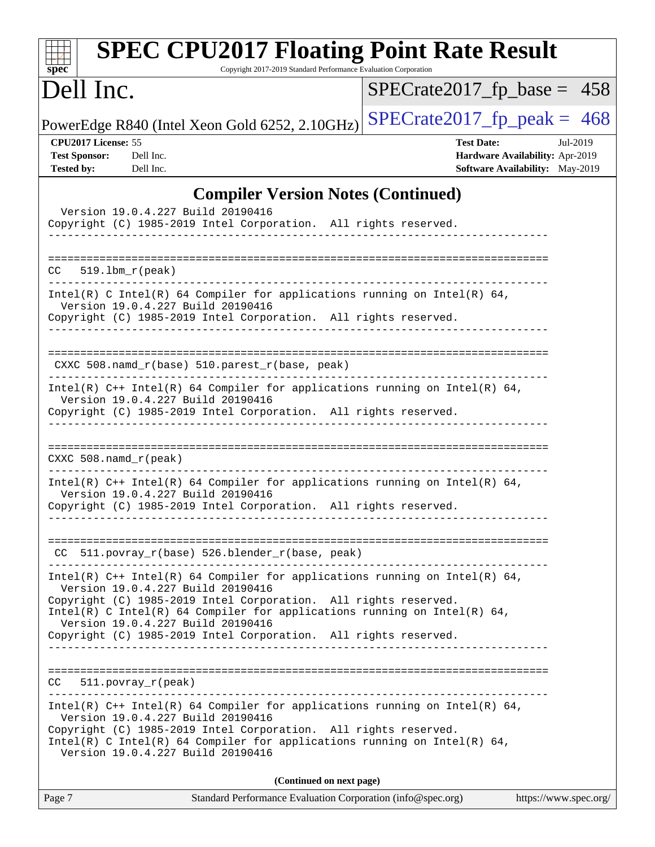| <b>SPEC CPU2017 Floating Point Rate Result</b><br>Copyright 2017-2019 Standard Performance Evaluation Corporation<br>spec <sup>®</sup>                                                                                                                                                                                                                                   |                                                                                                     |
|--------------------------------------------------------------------------------------------------------------------------------------------------------------------------------------------------------------------------------------------------------------------------------------------------------------------------------------------------------------------------|-----------------------------------------------------------------------------------------------------|
| Dell Inc.                                                                                                                                                                                                                                                                                                                                                                | $SPECrate2017_fp\_base = 458$                                                                       |
| PowerEdge R840 (Intel Xeon Gold 6252, 2.10GHz)                                                                                                                                                                                                                                                                                                                           | $SPECTate2017$ fp peak = 468                                                                        |
| CPU2017 License: 55<br><b>Test Sponsor:</b><br>Dell Inc.<br><b>Tested by:</b><br>Dell Inc.                                                                                                                                                                                                                                                                               | <b>Test Date:</b><br>Jul-2019<br>Hardware Availability: Apr-2019<br>Software Availability: May-2019 |
| <b>Compiler Version Notes (Continued)</b><br>Version 19.0.4.227 Build 20190416<br>Copyright (C) 1985-2019 Intel Corporation. All rights reserved.                                                                                                                                                                                                                        |                                                                                                     |
| $519.1bm_r(peak)$<br>CC                                                                                                                                                                                                                                                                                                                                                  |                                                                                                     |
| Intel(R) C Intel(R) 64 Compiler for applications running on Intel(R) 64,<br>Version 19.0.4.227 Build 20190416<br>Copyright (C) 1985-2019 Intel Corporation. All rights reserved.                                                                                                                                                                                         |                                                                                                     |
| $CXXC 508.namd_r(base) 510.parest_r(base, peak)$                                                                                                                                                                                                                                                                                                                         |                                                                                                     |
| Intel(R) $C++$ Intel(R) 64 Compiler for applications running on Intel(R) 64,<br>Version 19.0.4.227 Build 20190416<br>Copyright (C) 1985-2019 Intel Corporation. All rights reserved.                                                                                                                                                                                     |                                                                                                     |
| CXXC $508$ .namd $r$ (peak)                                                                                                                                                                                                                                                                                                                                              |                                                                                                     |
| Intel(R) $C++$ Intel(R) 64 Compiler for applications running on Intel(R) 64,<br>Version 19.0.4.227 Build 20190416<br>Copyright (C) 1985-2019 Intel Corporation. All rights reserved.                                                                                                                                                                                     |                                                                                                     |
| CC 511.povray_r(base) 526.blender_r(base, peak)<br>----------------------------------                                                                                                                                                                                                                                                                                    |                                                                                                     |
| Intel(R) $C++$ Intel(R) 64 Compiler for applications running on Intel(R) 64,<br>Version 19.0.4.227 Build 20190416<br>Copyright (C) 1985-2019 Intel Corporation. All rights reserved.<br>Intel(R) C Intel(R) 64 Compiler for applications running on Intel(R) 64,<br>Version 19.0.4.227 Build 20190416<br>Copyright (C) 1985-2019 Intel Corporation. All rights reserved. |                                                                                                     |
| 511.povray_r(peak)<br>CC.                                                                                                                                                                                                                                                                                                                                                |                                                                                                     |
| Intel(R) $C++$ Intel(R) 64 Compiler for applications running on Intel(R) 64,<br>Version 19.0.4.227 Build 20190416<br>Copyright (C) 1985-2019 Intel Corporation. All rights reserved.<br>Intel(R) C Intel(R) 64 Compiler for applications running on Intel(R) 64,<br>Version 19.0.4.227 Build 20190416                                                                    |                                                                                                     |
| (Continued on next page)                                                                                                                                                                                                                                                                                                                                                 |                                                                                                     |

| Page 7 | Standard Performance Evaluation Corporation (info@spec.org) | https://www.spec.org/ |
|--------|-------------------------------------------------------------|-----------------------|
|        |                                                             |                       |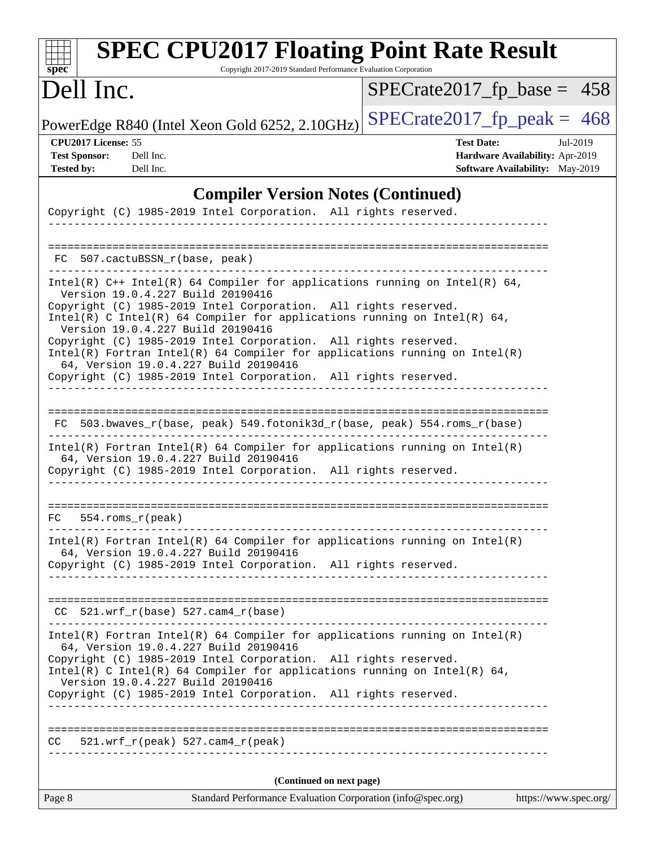| <b>SPEC CPU2017 Floating Point Rate Result</b><br>Copyright 2017-2019 Standard Performance Evaluation Corporation<br>$sp\overline{ec}$                                                                                                                                                                                                                                                                                                                                                                                                                               |                                                                                                     |
|----------------------------------------------------------------------------------------------------------------------------------------------------------------------------------------------------------------------------------------------------------------------------------------------------------------------------------------------------------------------------------------------------------------------------------------------------------------------------------------------------------------------------------------------------------------------|-----------------------------------------------------------------------------------------------------|
| Dell Inc.                                                                                                                                                                                                                                                                                                                                                                                                                                                                                                                                                            | $SPECrate2017_fp\_base = 458$                                                                       |
| PowerEdge R840 (Intel Xeon Gold 6252, 2.10GHz)                                                                                                                                                                                                                                                                                                                                                                                                                                                                                                                       | $SPECTate2017$ _fp_peak = 468                                                                       |
| CPU2017 License: 55<br><b>Test Sponsor:</b><br>Dell Inc.<br><b>Tested by:</b><br>Dell Inc.                                                                                                                                                                                                                                                                                                                                                                                                                                                                           | <b>Test Date:</b><br>Jul-2019<br>Hardware Availability: Apr-2019<br>Software Availability: May-2019 |
| <b>Compiler Version Notes (Continued)</b>                                                                                                                                                                                                                                                                                                                                                                                                                                                                                                                            |                                                                                                     |
| Copyright (C) 1985-2019 Intel Corporation. All rights reserved.                                                                                                                                                                                                                                                                                                                                                                                                                                                                                                      |                                                                                                     |
| FC 507.cactuBSSN_r(base, peak)                                                                                                                                                                                                                                                                                                                                                                                                                                                                                                                                       |                                                                                                     |
| Intel(R) $C++$ Intel(R) 64 Compiler for applications running on Intel(R) 64,<br>Version 19.0.4.227 Build 20190416<br>Copyright (C) 1985-2019 Intel Corporation. All rights reserved.<br>Intel(R) C Intel(R) 64 Compiler for applications running on Intel(R) 64,<br>Version 19.0.4.227 Build 20190416<br>Copyright (C) 1985-2019 Intel Corporation. All rights reserved.<br>$Intel(R)$ Fortran Intel(R) 64 Compiler for applications running on Intel(R)<br>64, Version 19.0.4.227 Build 20190416<br>Copyright (C) 1985-2019 Intel Corporation. All rights reserved. |                                                                                                     |
| FC 503.bwaves_r(base, peak) 549.fotonik3d_r(base, peak) 554.roms_r(base)<br>$Intel(R)$ Fortran Intel(R) 64 Compiler for applications running on Intel(R)<br>64, Version 19.0.4.227 Build 20190416<br>Copyright (C) 1985-2019 Intel Corporation. All rights reserved.                                                                                                                                                                                                                                                                                                 |                                                                                                     |
| FC<br>554.roms_r(peak)<br>$Intel(R)$ Fortran Intel(R) 64 Compiler for applications running on Intel(R)<br>64, Version 19.0.4.227 Build 20190416<br>Copyright (C) 1985-2019 Intel Corporation. All rights reserved.                                                                                                                                                                                                                                                                                                                                                   |                                                                                                     |
| $CC$ 521.wrf_r(base) 527.cam4_r(base)<br>$Intel(R)$ Fortran Intel(R) 64 Compiler for applications running on Intel(R)<br>64, Version 19.0.4.227 Build 20190416<br>Copyright (C) 1985-2019 Intel Corporation. All rights reserved.<br>Intel(R) C Intel(R) 64 Compiler for applications running on Intel(R) 64,<br>Version 19.0.4.227 Build 20190416<br>Copyright (C) 1985-2019 Intel Corporation. All rights reserved.                                                                                                                                                |                                                                                                     |
| $521.wrf_r(peak) 527.cam4_r(peak)$<br>CC                                                                                                                                                                                                                                                                                                                                                                                                                                                                                                                             |                                                                                                     |
| (Continued on next page)                                                                                                                                                                                                                                                                                                                                                                                                                                                                                                                                             |                                                                                                     |
| Page 8<br>Standard Performance Evaluation Corporation (info@spec.org)                                                                                                                                                                                                                                                                                                                                                                                                                                                                                                | https://www.spec.org/                                                                               |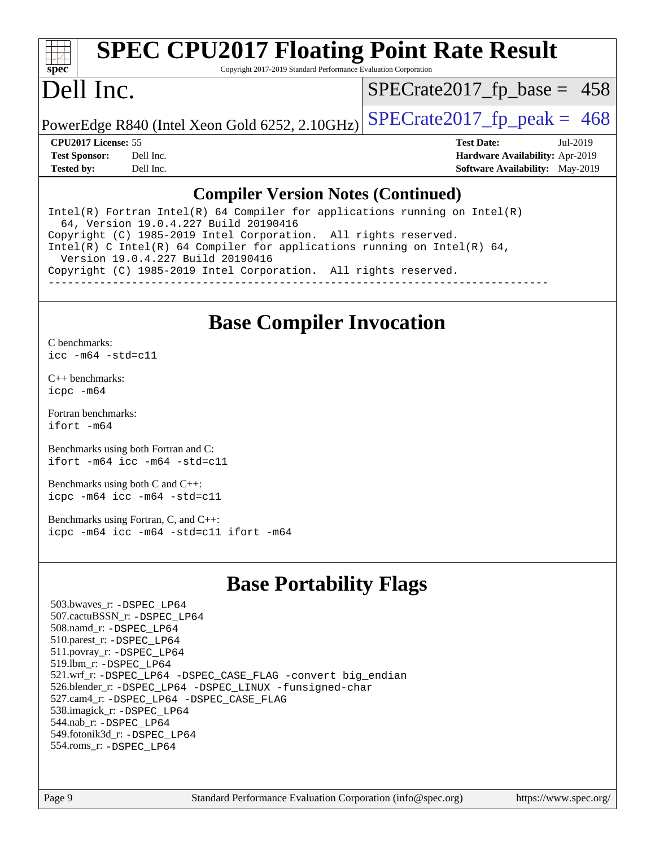

# **[SPEC CPU2017 Floating Point Rate Result](http://www.spec.org/auto/cpu2017/Docs/result-fields.html#SPECCPU2017FloatingPointRateResult)**

Copyright 2017-2019 Standard Performance Evaluation Corporation

## Dell Inc.

 $SPECTate2017_fp\_base = 458$ 

PowerEdge R840 (Intel Xeon Gold 6252, 2.10GHz)  $\text{SPECrate}2017\_fp\_peak = 468$ 

**[Tested by:](http://www.spec.org/auto/cpu2017/Docs/result-fields.html#Testedby)** Dell Inc. **[Software Availability:](http://www.spec.org/auto/cpu2017/Docs/result-fields.html#SoftwareAvailability)** May-2019

**[CPU2017 License:](http://www.spec.org/auto/cpu2017/Docs/result-fields.html#CPU2017License)** 55 **[Test Date:](http://www.spec.org/auto/cpu2017/Docs/result-fields.html#TestDate)** Jul-2019 **[Test Sponsor:](http://www.spec.org/auto/cpu2017/Docs/result-fields.html#TestSponsor)** Dell Inc. **[Hardware Availability:](http://www.spec.org/auto/cpu2017/Docs/result-fields.html#HardwareAvailability)** Apr-2019

#### **[Compiler Version Notes \(Continued\)](http://www.spec.org/auto/cpu2017/Docs/result-fields.html#CompilerVersionNotes)**

Intel(R) Fortran Intel(R)  $64$  Compiler for applications running on Intel(R) 64, Version 19.0.4.227 Build 20190416 Copyright (C) 1985-2019 Intel Corporation. All rights reserved. Intel(R) C Intel(R) 64 Compiler for applications running on Intel(R) 64, Version 19.0.4.227 Build 20190416 Copyright (C) 1985-2019 Intel Corporation. All rights reserved. ------------------------------------------------------------------------------

#### **[Base Compiler Invocation](http://www.spec.org/auto/cpu2017/Docs/result-fields.html#BaseCompilerInvocation)**

[C benchmarks](http://www.spec.org/auto/cpu2017/Docs/result-fields.html#Cbenchmarks): [icc -m64 -std=c11](http://www.spec.org/cpu2017/results/res2019q3/cpu2017-20190805-16475.flags.html#user_CCbase_intel_icc_64bit_c11_33ee0cdaae7deeeab2a9725423ba97205ce30f63b9926c2519791662299b76a0318f32ddfffdc46587804de3178b4f9328c46fa7c2b0cd779d7a61945c91cd35)

[C++ benchmarks:](http://www.spec.org/auto/cpu2017/Docs/result-fields.html#CXXbenchmarks) [icpc -m64](http://www.spec.org/cpu2017/results/res2019q3/cpu2017-20190805-16475.flags.html#user_CXXbase_intel_icpc_64bit_4ecb2543ae3f1412ef961e0650ca070fec7b7afdcd6ed48761b84423119d1bf6bdf5cad15b44d48e7256388bc77273b966e5eb805aefd121eb22e9299b2ec9d9)

[Fortran benchmarks](http://www.spec.org/auto/cpu2017/Docs/result-fields.html#Fortranbenchmarks): [ifort -m64](http://www.spec.org/cpu2017/results/res2019q3/cpu2017-20190805-16475.flags.html#user_FCbase_intel_ifort_64bit_24f2bb282fbaeffd6157abe4f878425411749daecae9a33200eee2bee2fe76f3b89351d69a8130dd5949958ce389cf37ff59a95e7a40d588e8d3a57e0c3fd751)

[Benchmarks using both Fortran and C](http://www.spec.org/auto/cpu2017/Docs/result-fields.html#BenchmarksusingbothFortranandC): [ifort -m64](http://www.spec.org/cpu2017/results/res2019q3/cpu2017-20190805-16475.flags.html#user_CC_FCbase_intel_ifort_64bit_24f2bb282fbaeffd6157abe4f878425411749daecae9a33200eee2bee2fe76f3b89351d69a8130dd5949958ce389cf37ff59a95e7a40d588e8d3a57e0c3fd751) [icc -m64 -std=c11](http://www.spec.org/cpu2017/results/res2019q3/cpu2017-20190805-16475.flags.html#user_CC_FCbase_intel_icc_64bit_c11_33ee0cdaae7deeeab2a9725423ba97205ce30f63b9926c2519791662299b76a0318f32ddfffdc46587804de3178b4f9328c46fa7c2b0cd779d7a61945c91cd35)

[Benchmarks using both C and C++](http://www.spec.org/auto/cpu2017/Docs/result-fields.html#BenchmarksusingbothCandCXX): [icpc -m64](http://www.spec.org/cpu2017/results/res2019q3/cpu2017-20190805-16475.flags.html#user_CC_CXXbase_intel_icpc_64bit_4ecb2543ae3f1412ef961e0650ca070fec7b7afdcd6ed48761b84423119d1bf6bdf5cad15b44d48e7256388bc77273b966e5eb805aefd121eb22e9299b2ec9d9) [icc -m64 -std=c11](http://www.spec.org/cpu2017/results/res2019q3/cpu2017-20190805-16475.flags.html#user_CC_CXXbase_intel_icc_64bit_c11_33ee0cdaae7deeeab2a9725423ba97205ce30f63b9926c2519791662299b76a0318f32ddfffdc46587804de3178b4f9328c46fa7c2b0cd779d7a61945c91cd35)

[Benchmarks using Fortran, C, and C++:](http://www.spec.org/auto/cpu2017/Docs/result-fields.html#BenchmarksusingFortranCandCXX) [icpc -m64](http://www.spec.org/cpu2017/results/res2019q3/cpu2017-20190805-16475.flags.html#user_CC_CXX_FCbase_intel_icpc_64bit_4ecb2543ae3f1412ef961e0650ca070fec7b7afdcd6ed48761b84423119d1bf6bdf5cad15b44d48e7256388bc77273b966e5eb805aefd121eb22e9299b2ec9d9) [icc -m64 -std=c11](http://www.spec.org/cpu2017/results/res2019q3/cpu2017-20190805-16475.flags.html#user_CC_CXX_FCbase_intel_icc_64bit_c11_33ee0cdaae7deeeab2a9725423ba97205ce30f63b9926c2519791662299b76a0318f32ddfffdc46587804de3178b4f9328c46fa7c2b0cd779d7a61945c91cd35) [ifort -m64](http://www.spec.org/cpu2017/results/res2019q3/cpu2017-20190805-16475.flags.html#user_CC_CXX_FCbase_intel_ifort_64bit_24f2bb282fbaeffd6157abe4f878425411749daecae9a33200eee2bee2fe76f3b89351d69a8130dd5949958ce389cf37ff59a95e7a40d588e8d3a57e0c3fd751)

#### **[Base Portability Flags](http://www.spec.org/auto/cpu2017/Docs/result-fields.html#BasePortabilityFlags)**

 503.bwaves\_r: [-DSPEC\\_LP64](http://www.spec.org/cpu2017/results/res2019q3/cpu2017-20190805-16475.flags.html#suite_basePORTABILITY503_bwaves_r_DSPEC_LP64) 507.cactuBSSN\_r: [-DSPEC\\_LP64](http://www.spec.org/cpu2017/results/res2019q3/cpu2017-20190805-16475.flags.html#suite_basePORTABILITY507_cactuBSSN_r_DSPEC_LP64) 508.namd\_r: [-DSPEC\\_LP64](http://www.spec.org/cpu2017/results/res2019q3/cpu2017-20190805-16475.flags.html#suite_basePORTABILITY508_namd_r_DSPEC_LP64) 510.parest\_r: [-DSPEC\\_LP64](http://www.spec.org/cpu2017/results/res2019q3/cpu2017-20190805-16475.flags.html#suite_basePORTABILITY510_parest_r_DSPEC_LP64) 511.povray\_r: [-DSPEC\\_LP64](http://www.spec.org/cpu2017/results/res2019q3/cpu2017-20190805-16475.flags.html#suite_basePORTABILITY511_povray_r_DSPEC_LP64) 519.lbm\_r: [-DSPEC\\_LP64](http://www.spec.org/cpu2017/results/res2019q3/cpu2017-20190805-16475.flags.html#suite_basePORTABILITY519_lbm_r_DSPEC_LP64) 521.wrf\_r: [-DSPEC\\_LP64](http://www.spec.org/cpu2017/results/res2019q3/cpu2017-20190805-16475.flags.html#suite_basePORTABILITY521_wrf_r_DSPEC_LP64) [-DSPEC\\_CASE\\_FLAG](http://www.spec.org/cpu2017/results/res2019q3/cpu2017-20190805-16475.flags.html#b521.wrf_r_baseCPORTABILITY_DSPEC_CASE_FLAG) [-convert big\\_endian](http://www.spec.org/cpu2017/results/res2019q3/cpu2017-20190805-16475.flags.html#user_baseFPORTABILITY521_wrf_r_convert_big_endian_c3194028bc08c63ac5d04de18c48ce6d347e4e562e8892b8bdbdc0214820426deb8554edfa529a3fb25a586e65a3d812c835984020483e7e73212c4d31a38223) 526.blender\_r: [-DSPEC\\_LP64](http://www.spec.org/cpu2017/results/res2019q3/cpu2017-20190805-16475.flags.html#suite_basePORTABILITY526_blender_r_DSPEC_LP64) [-DSPEC\\_LINUX](http://www.spec.org/cpu2017/results/res2019q3/cpu2017-20190805-16475.flags.html#b526.blender_r_baseCPORTABILITY_DSPEC_LINUX) [-funsigned-char](http://www.spec.org/cpu2017/results/res2019q3/cpu2017-20190805-16475.flags.html#user_baseCPORTABILITY526_blender_r_force_uchar_40c60f00ab013830e2dd6774aeded3ff59883ba5a1fc5fc14077f794d777847726e2a5858cbc7672e36e1b067e7e5c1d9a74f7176df07886a243d7cc18edfe67) 527.cam4\_r: [-DSPEC\\_LP64](http://www.spec.org/cpu2017/results/res2019q3/cpu2017-20190805-16475.flags.html#suite_basePORTABILITY527_cam4_r_DSPEC_LP64) [-DSPEC\\_CASE\\_FLAG](http://www.spec.org/cpu2017/results/res2019q3/cpu2017-20190805-16475.flags.html#b527.cam4_r_baseCPORTABILITY_DSPEC_CASE_FLAG) 538.imagick\_r: [-DSPEC\\_LP64](http://www.spec.org/cpu2017/results/res2019q3/cpu2017-20190805-16475.flags.html#suite_basePORTABILITY538_imagick_r_DSPEC_LP64) 544.nab\_r: [-DSPEC\\_LP64](http://www.spec.org/cpu2017/results/res2019q3/cpu2017-20190805-16475.flags.html#suite_basePORTABILITY544_nab_r_DSPEC_LP64) 549.fotonik3d\_r: [-DSPEC\\_LP64](http://www.spec.org/cpu2017/results/res2019q3/cpu2017-20190805-16475.flags.html#suite_basePORTABILITY549_fotonik3d_r_DSPEC_LP64) 554.roms\_r: [-DSPEC\\_LP64](http://www.spec.org/cpu2017/results/res2019q3/cpu2017-20190805-16475.flags.html#suite_basePORTABILITY554_roms_r_DSPEC_LP64)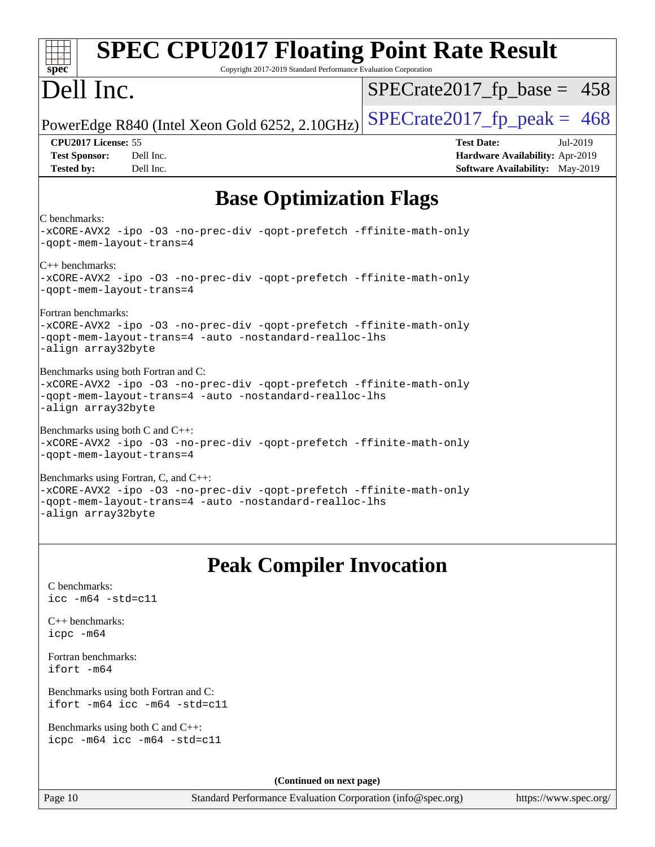| <b>SPEC CPU2017 Floating Point Rate Result</b><br>spec <sup>®</sup><br>Copyright 2017-2019 Standard Performance Evaluation Corporation                                                       |                                                                                                            |
|----------------------------------------------------------------------------------------------------------------------------------------------------------------------------------------------|------------------------------------------------------------------------------------------------------------|
| Dell Inc.                                                                                                                                                                                    | $SPECrate2017_fp\_base = 458$                                                                              |
| PowerEdge R840 (Intel Xeon Gold 6252, 2.10GHz)                                                                                                                                               | $SPECrate2017rfp peak = 468$                                                                               |
| CPU2017 License: 55<br><b>Test Sponsor:</b><br>Dell Inc.<br><b>Tested by:</b><br>Dell Inc.                                                                                                   | <b>Test Date:</b><br>Jul-2019<br>Hardware Availability: Apr-2019<br><b>Software Availability:</b> May-2019 |
| <b>Base Optimization Flags</b>                                                                                                                                                               |                                                                                                            |
| C benchmarks:<br>-xCORE-AVX2 -ipo -03 -no-prec-div -qopt-prefetch -ffinite-math-only<br>-qopt-mem-layout-trans=4                                                                             |                                                                                                            |
| $ C_{++}$ benchmarks:<br>-xCORE-AVX2 -ipo -03 -no-prec-div -qopt-prefetch -ffinite-math-only<br>-qopt-mem-layout-trans=4                                                                     |                                                                                                            |
| Fortran benchmarks:<br>-xCORE-AVX2 -ipo -03 -no-prec-div -qopt-prefetch -ffinite-math-only<br>-qopt-mem-layout-trans=4 -auto -nostandard-realloc-lhs<br>-align array32byte                   |                                                                                                            |
| Benchmarks using both Fortran and C:<br>-xCORE-AVX2 -ipo -03 -no-prec-div -qopt-prefetch -ffinite-math-only<br>-qopt-mem-layout-trans=4 -auto -nostandard-realloc-lhs<br>-align array32byte  |                                                                                                            |
| Benchmarks using both C and $C_{++}$ :<br>-xCORE-AVX2 -ipo -03 -no-prec-div -qopt-prefetch -ffinite-math-only<br>-qopt-mem-layout-trans=4                                                    |                                                                                                            |
| Benchmarks using Fortran, C, and C++:<br>-xCORE-AVX2 -ipo -03 -no-prec-div -qopt-prefetch -ffinite-math-only<br>-gopt-mem-layout-trans=4 -auto -nostandard-realloc-lhs<br>-align array32byte |                                                                                                            |
| <b>Peak Compiler Invocation</b>                                                                                                                                                              |                                                                                                            |
| C benchmarks:<br>$\text{icc}$ -m64 -std=c11                                                                                                                                                  |                                                                                                            |
| $C_{++}$ benchmarks:<br>icpc -m64                                                                                                                                                            |                                                                                                            |
| Fortran benchmarks:<br>$ifort -m64$                                                                                                                                                          |                                                                                                            |
| Benchmarks using both Fortran and C:<br>ifort -m64 icc -m64 -std=c11                                                                                                                         |                                                                                                            |
| Benchmarks using both $C$ and $C_{++}$ :<br>icpc -m64 icc -m64 -std=c11                                                                                                                      |                                                                                                            |
| (Continued on next page)                                                                                                                                                                     |                                                                                                            |
|                                                                                                                                                                                              |                                                                                                            |

Page 10 Standard Performance Evaluation Corporation [\(info@spec.org\)](mailto:info@spec.org) <https://www.spec.org/>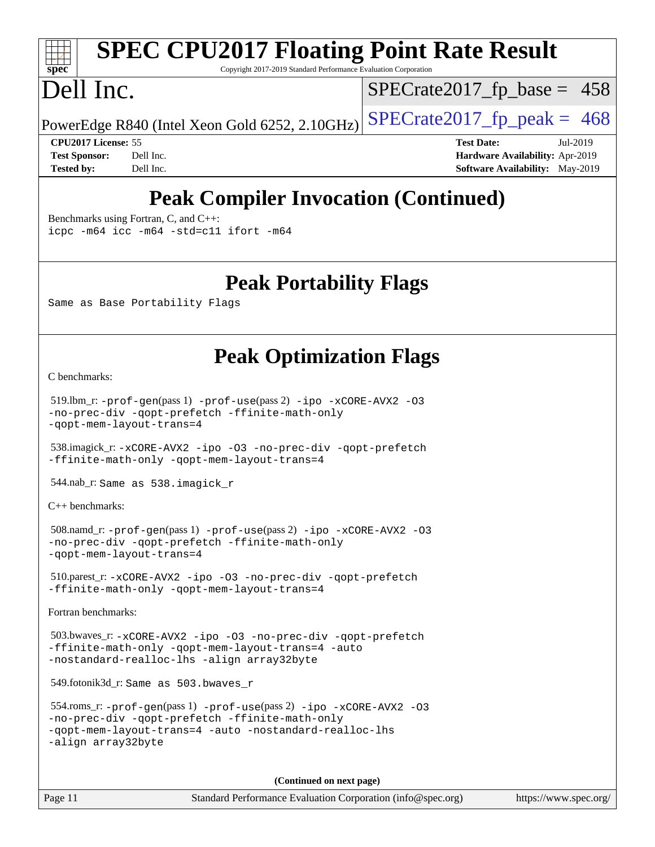# **[spec](http://www.spec.org/)**

# **[SPEC CPU2017 Floating Point Rate Result](http://www.spec.org/auto/cpu2017/Docs/result-fields.html#SPECCPU2017FloatingPointRateResult)**

Copyright 2017-2019 Standard Performance Evaluation Corporation

## Dell Inc.

 $SPECTate2017_fp\_base = 458$ 

PowerEdge R840 (Intel Xeon Gold 6252, 2.10GHz)  $\text{SPECrate}2017\_fp\_peak = 468$ 

**[CPU2017 License:](http://www.spec.org/auto/cpu2017/Docs/result-fields.html#CPU2017License)** 55 **[Test Date:](http://www.spec.org/auto/cpu2017/Docs/result-fields.html#TestDate)** Jul-2019 **[Test Sponsor:](http://www.spec.org/auto/cpu2017/Docs/result-fields.html#TestSponsor)** Dell Inc. **[Hardware Availability:](http://www.spec.org/auto/cpu2017/Docs/result-fields.html#HardwareAvailability)** Apr-2019 **[Tested by:](http://www.spec.org/auto/cpu2017/Docs/result-fields.html#Testedby)** Dell Inc. Dell Inc. **[Software Availability:](http://www.spec.org/auto/cpu2017/Docs/result-fields.html#SoftwareAvailability)** May-2019

## **[Peak Compiler Invocation \(Continued\)](http://www.spec.org/auto/cpu2017/Docs/result-fields.html#PeakCompilerInvocation)**

[Benchmarks using Fortran, C, and C++:](http://www.spec.org/auto/cpu2017/Docs/result-fields.html#BenchmarksusingFortranCandCXX)

[icpc -m64](http://www.spec.org/cpu2017/results/res2019q3/cpu2017-20190805-16475.flags.html#user_CC_CXX_FCpeak_intel_icpc_64bit_4ecb2543ae3f1412ef961e0650ca070fec7b7afdcd6ed48761b84423119d1bf6bdf5cad15b44d48e7256388bc77273b966e5eb805aefd121eb22e9299b2ec9d9) [icc -m64 -std=c11](http://www.spec.org/cpu2017/results/res2019q3/cpu2017-20190805-16475.flags.html#user_CC_CXX_FCpeak_intel_icc_64bit_c11_33ee0cdaae7deeeab2a9725423ba97205ce30f63b9926c2519791662299b76a0318f32ddfffdc46587804de3178b4f9328c46fa7c2b0cd779d7a61945c91cd35) [ifort -m64](http://www.spec.org/cpu2017/results/res2019q3/cpu2017-20190805-16475.flags.html#user_CC_CXX_FCpeak_intel_ifort_64bit_24f2bb282fbaeffd6157abe4f878425411749daecae9a33200eee2bee2fe76f3b89351d69a8130dd5949958ce389cf37ff59a95e7a40d588e8d3a57e0c3fd751)

#### **[Peak Portability Flags](http://www.spec.org/auto/cpu2017/Docs/result-fields.html#PeakPortabilityFlags)**

Same as Base Portability Flags

### **[Peak Optimization Flags](http://www.spec.org/auto/cpu2017/Docs/result-fields.html#PeakOptimizationFlags)**

[C benchmarks](http://www.spec.org/auto/cpu2017/Docs/result-fields.html#Cbenchmarks):

```
 519.lbm_r: -prof-gen(pass 1) -prof-use(pass 2) -ipo -xCORE-AVX2 -O3
-no-prec-div -qopt-prefetch -ffinite-math-only
-qopt-mem-layout-trans=4
```
 538.imagick\_r: [-xCORE-AVX2](http://www.spec.org/cpu2017/results/res2019q3/cpu2017-20190805-16475.flags.html#user_peakCOPTIMIZE538_imagick_r_f-xCORE-AVX2) [-ipo](http://www.spec.org/cpu2017/results/res2019q3/cpu2017-20190805-16475.flags.html#user_peakCOPTIMIZE538_imagick_r_f-ipo) [-O3](http://www.spec.org/cpu2017/results/res2019q3/cpu2017-20190805-16475.flags.html#user_peakCOPTIMIZE538_imagick_r_f-O3) [-no-prec-div](http://www.spec.org/cpu2017/results/res2019q3/cpu2017-20190805-16475.flags.html#user_peakCOPTIMIZE538_imagick_r_f-no-prec-div) [-qopt-prefetch](http://www.spec.org/cpu2017/results/res2019q3/cpu2017-20190805-16475.flags.html#user_peakCOPTIMIZE538_imagick_r_f-qopt-prefetch) [-ffinite-math-only](http://www.spec.org/cpu2017/results/res2019q3/cpu2017-20190805-16475.flags.html#user_peakCOPTIMIZE538_imagick_r_f_finite_math_only_cb91587bd2077682c4b38af759c288ed7c732db004271a9512da14a4f8007909a5f1427ecbf1a0fb78ff2a814402c6114ac565ca162485bbcae155b5e4258871) [-qopt-mem-layout-trans=4](http://www.spec.org/cpu2017/results/res2019q3/cpu2017-20190805-16475.flags.html#user_peakCOPTIMIZE538_imagick_r_f-qopt-mem-layout-trans_fa39e755916c150a61361b7846f310bcdf6f04e385ef281cadf3647acec3f0ae266d1a1d22d972a7087a248fd4e6ca390a3634700869573d231a252c784941a8)

544.nab\_r: Same as 538.imagick\_r

[C++ benchmarks:](http://www.spec.org/auto/cpu2017/Docs/result-fields.html#CXXbenchmarks)

```
 508.namd_r: -prof-gen(pass 1) -prof-use(pass 2) -ipo -xCORE-AVX2 -O3
-no-prec-div -qopt-prefetch -ffinite-math-only
-qopt-mem-layout-trans=4
```
 510.parest\_r: [-xCORE-AVX2](http://www.spec.org/cpu2017/results/res2019q3/cpu2017-20190805-16475.flags.html#user_peakCXXOPTIMIZE510_parest_r_f-xCORE-AVX2) [-ipo](http://www.spec.org/cpu2017/results/res2019q3/cpu2017-20190805-16475.flags.html#user_peakCXXOPTIMIZE510_parest_r_f-ipo) [-O3](http://www.spec.org/cpu2017/results/res2019q3/cpu2017-20190805-16475.flags.html#user_peakCXXOPTIMIZE510_parest_r_f-O3) [-no-prec-div](http://www.spec.org/cpu2017/results/res2019q3/cpu2017-20190805-16475.flags.html#user_peakCXXOPTIMIZE510_parest_r_f-no-prec-div) [-qopt-prefetch](http://www.spec.org/cpu2017/results/res2019q3/cpu2017-20190805-16475.flags.html#user_peakCXXOPTIMIZE510_parest_r_f-qopt-prefetch) [-ffinite-math-only](http://www.spec.org/cpu2017/results/res2019q3/cpu2017-20190805-16475.flags.html#user_peakCXXOPTIMIZE510_parest_r_f_finite_math_only_cb91587bd2077682c4b38af759c288ed7c732db004271a9512da14a4f8007909a5f1427ecbf1a0fb78ff2a814402c6114ac565ca162485bbcae155b5e4258871) [-qopt-mem-layout-trans=4](http://www.spec.org/cpu2017/results/res2019q3/cpu2017-20190805-16475.flags.html#user_peakCXXOPTIMIZE510_parest_r_f-qopt-mem-layout-trans_fa39e755916c150a61361b7846f310bcdf6f04e385ef281cadf3647acec3f0ae266d1a1d22d972a7087a248fd4e6ca390a3634700869573d231a252c784941a8)

[Fortran benchmarks](http://www.spec.org/auto/cpu2017/Docs/result-fields.html#Fortranbenchmarks):

```
 503.bwaves_r: -xCORE-AVX2 -ipo -O3 -no-prec-div -qopt-prefetch
-ffinite-math-only -qopt-mem-layout-trans=4 -auto
-nostandard-realloc-lhs -align array32byte
```
549.fotonik3d\_r: Same as 503.bwaves\_r

```
 554.roms_r: -prof-gen(pass 1) -prof-use(pass 2) -ipo -xCORE-AVX2 -O3
-no-prec-div -qopt-prefetch -ffinite-math-only
-qopt-mem-layout-trans=4 -auto -nostandard-realloc-lhs
-align array32byte
```
**(Continued on next page)**